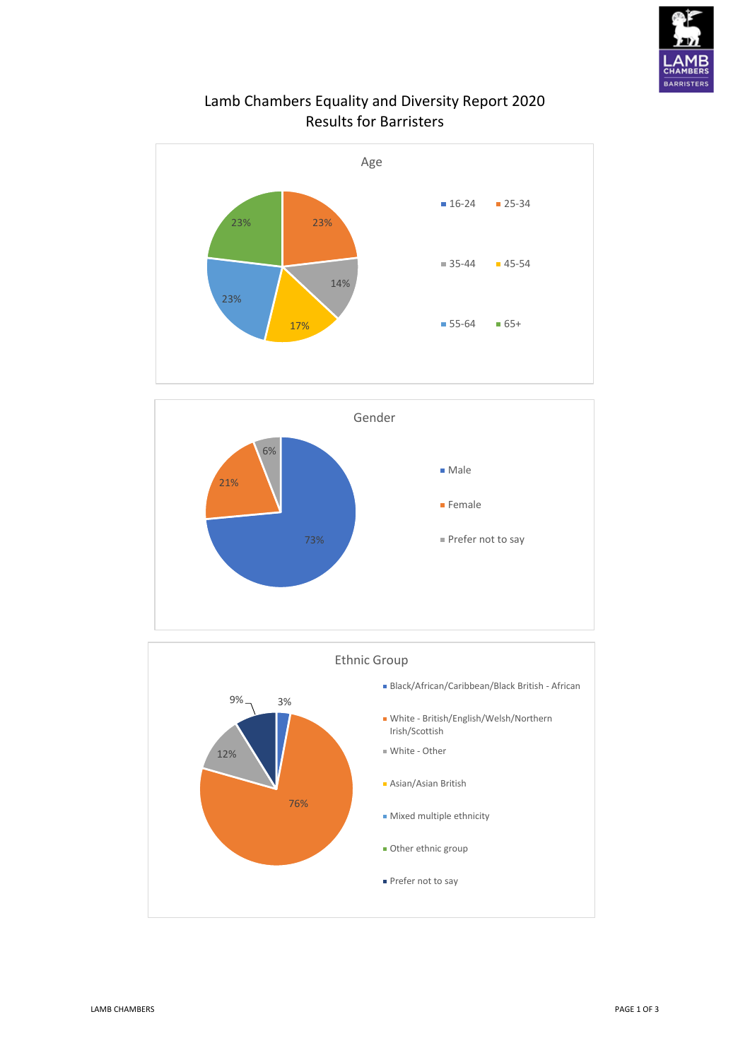

## Lamb Chambers Equality and Diversity Report 2020 Results for Barristers





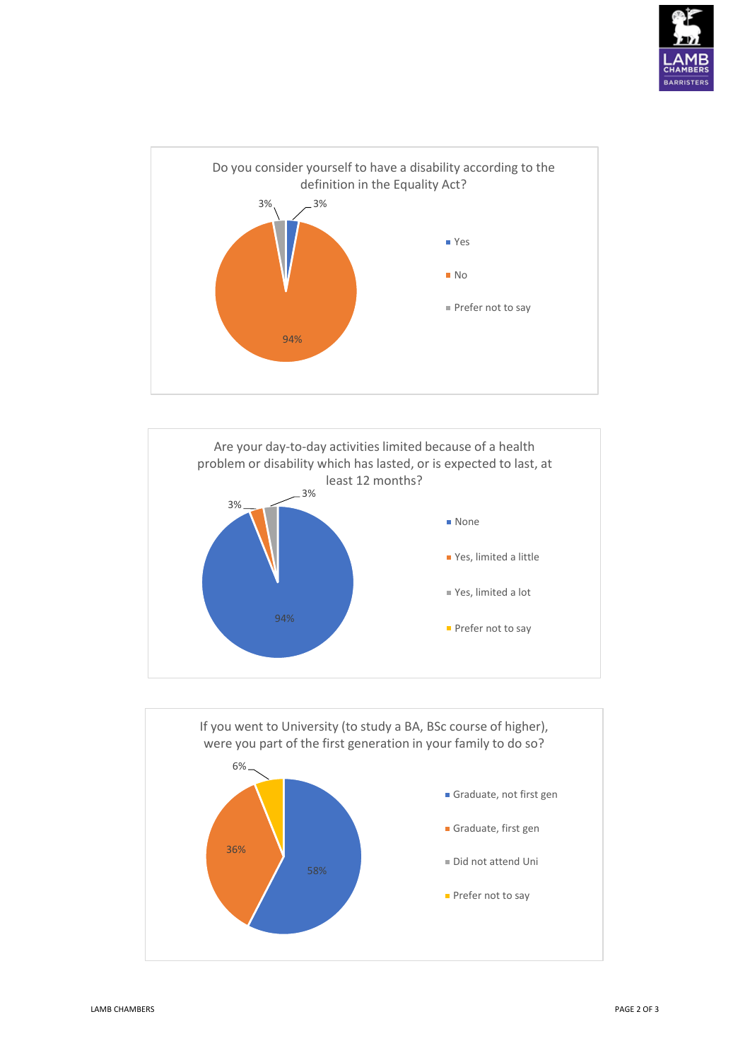